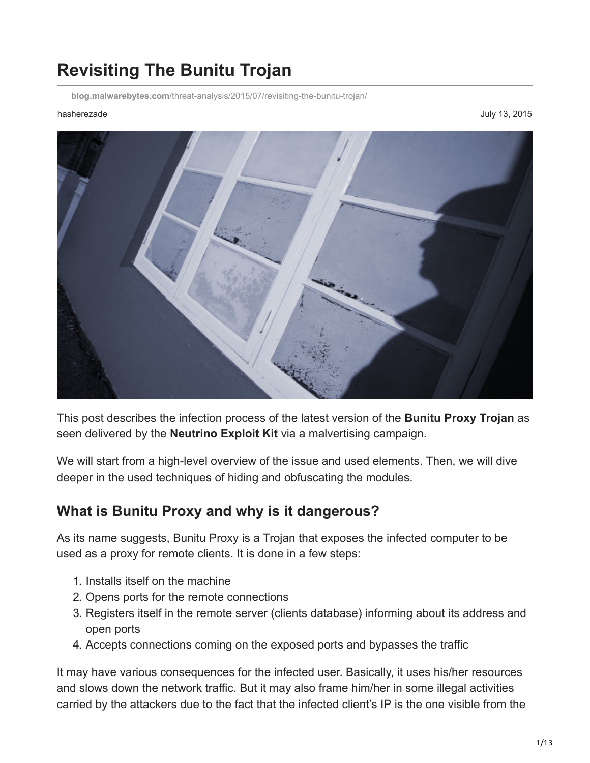# **Revisiting The Bunitu Trojan**

**blog.malwarebytes.com**[/threat-analysis/2015/07/revisiting-the-bunitu-trojan/](https://blog.malwarebytes.com/threat-analysis/2015/07/revisiting-the-bunitu-trojan/)

hasherezade July 13, 2015



This post describes the infection process of the latest version of the **Bunitu Proxy Trojan** as seen delivered by the **Neutrino Exploit Kit** via a malvertising campaign.

We will start from a high-level overview of the issue and used elements. Then, we will dive deeper in the used techniques of hiding and obfuscating the modules.

## **What is Bunitu Proxy and why is it dangerous?**

As its name suggests, Bunitu Proxy is a Trojan that exposes the infected computer to be used as a proxy for remote clients. It is done in a few steps:

- 1. Installs itself on the machine
- 2. Opens ports for the remote connections
- 3. Registers itself in the remote server (clients database) informing about its address and open ports
- 4. Accepts connections coming on the exposed ports and bypasses the traffic

It may have various consequences for the infected user. Basically, it uses his/her resources and slows down the network traffic. But it may also frame him/her in some illegal activities carried by the attackers due to the fact that the infected client's IP is the one visible from the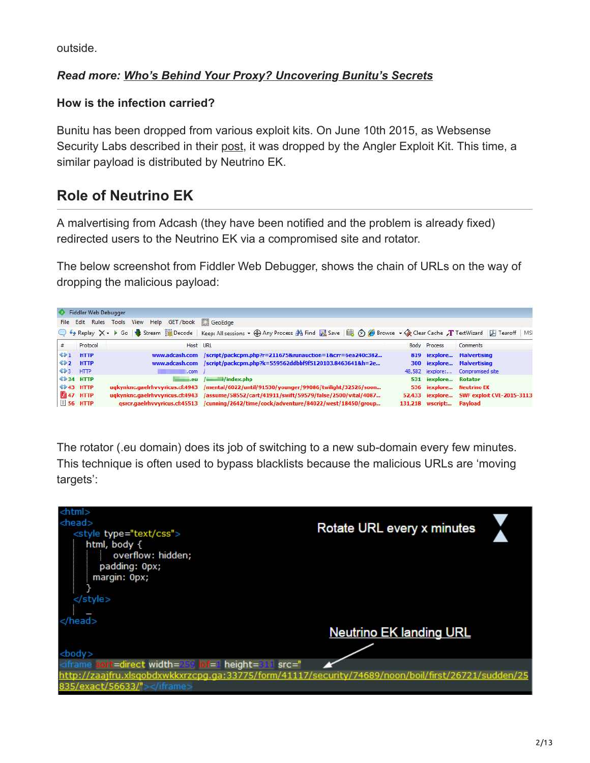outside.

#### *Read more: [Who's Behind Your Proxy? Uncovering Bunitu's Secrets](https://blog.malwarebytes.org/botnets/2015/08/whos-behind-your-proxy-uncovering-bunitus-secrets/)*

#### **How is the infection carried?**

Bunitu has been dropped from various exploit kits. On June 10th 2015, as Websense Security Labs described in their [post,](http://community.websense.com/blogs/securitylabs/archive/2015/06/10/large-malvertizing-campaign-leads-to-angler-ek-amp-bunitu-malware.aspx) it was dropped by the Angler Exploit Kit. This time, a similar payload is distributed by Neutrino EK.

## **Role of Neutrino EK**

A malvertising from Adcash (they have been notified and the problem is already fixed) redirected users to the Neutrino EK via a compromised site and rotator.

The below screenshot from Fiddler Web Debugger, shows the chain of URLs on the way of dropping the malicious payload:



The rotator (.eu domain) does its job of switching to a new sub-domain every few minutes. This technique is often used to bypass blacklists because the malicious URLs are 'moving targets':

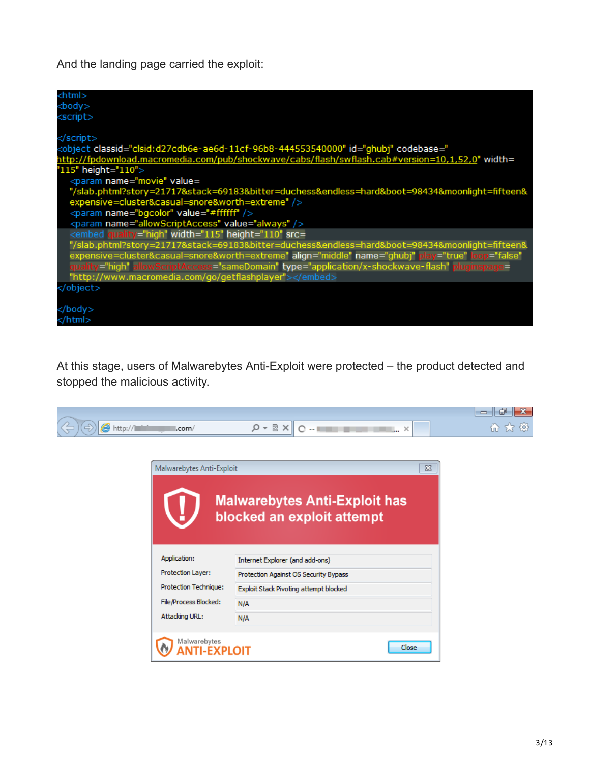And the landing page carried the exploit:

| <html></html>                                                                                                                                                                                                                                  |
|------------------------------------------------------------------------------------------------------------------------------------------------------------------------------------------------------------------------------------------------|
| <body></body>                                                                                                                                                                                                                                  |
| <script></td></tr><tr><td></td></tr><tr><td></script>                                                                                                                                                                                          |
| <object classid="clsid:d27cdb6e-ae6d-11cf-96b8-444553540000" codebase="&lt;/td&gt;&lt;/tr&gt;&lt;tr&gt;&lt;td&gt;http://fpdownload.macromedia.com/pub/shockwave/cabs/flash/swflash.cab#version=10,1,52,0" id="ghubj" width="&lt;/td"></object> |
| "115" height="110">                                                                                                                                                                                                                            |
| <param name="movie" value="&lt;/td"/>                                                                                                                                                                                                          |
| "/slab.phtml?story=21717&stack=69183&bitter=duchess&endless=hard&boot=98434&moonlight=fifteen&                                                                                                                                                 |
| expensive=cluster&casual=snore&worth=extreme" />                                                                                                                                                                                               |
| <param name="bgcolor" value="#ffffff"/>                                                                                                                                                                                                        |
| <param_name="allowscriptaccess"_value="always"></param_name="allowscriptaccess"_value="always">                                                                                                                                                |
| <embed height="110" quality="high" src="&lt;/td" width="115"/>                                                                                                                                                                                 |
| "/slab.phtml?story=21717&stack=69183&bitter=duchess&endless=hard&boot=98434&moonlight=fifteen&                                                                                                                                                 |
| expensive=cluster&casual=snore&worth=extreme" align="middle" name="ghubj" play="true" loop="false"                                                                                                                                             |
| quality="high" allowScriptAccess="sameDomain" type="application/x-shockwave-flash" pluginspage=                                                                                                                                                |
| "http://www.macromedia.com/go/getflashplayer">                                                                                                                                                                                                 |
|                                                                                                                                                                                                                                                |
|                                                                                                                                                                                                                                                |
|                                                                                                                                                                                                                                                |
|                                                                                                                                                                                                                                                |

At this stage, users of [Malwarebytes Anti-Exploit](https://www.malwarebytes.org/antiexploit/?utm_source=blog&utm_medium=social) were protected – the product detected and stopped the malicious activity.

| .com/<br>G | $-$ | $\sim$<br> | OP.<br>ய |
|------------|-----|------------|----------|

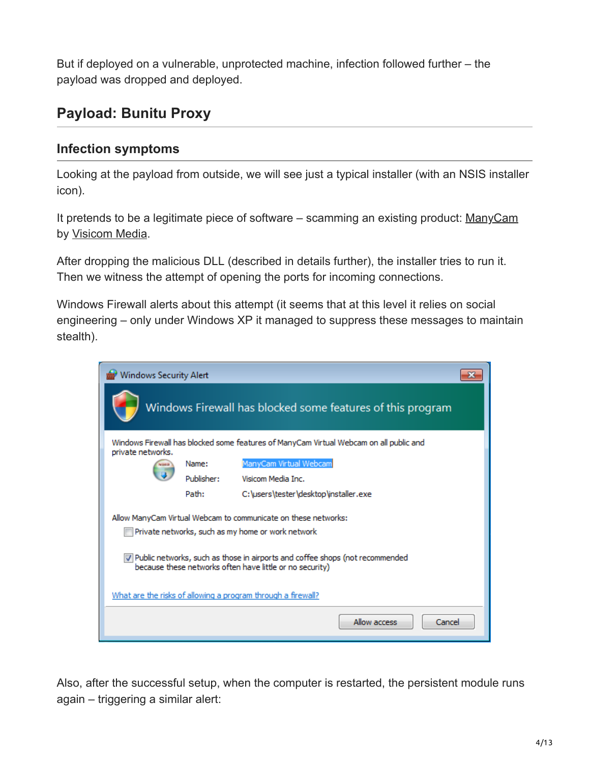But if deployed on a vulnerable, unprotected machine, infection followed further – the payload was dropped and deployed.

## **Payload: Bunitu Proxy**

### **Infection symptoms**

Looking at the payload from outside, we will see just a typical installer (with an NSIS installer icon).

It pretends to be a legitimate piece of software – scamming an existing product: [ManyCam](https://download.manycam.com/) by [Visicom Media.](http://www.vmn.net/)

After dropping the malicious DLL (described in details further), the installer tries to run it. Then we witness the attempt of opening the ports for incoming connections.

Windows Firewall alerts about this attempt (it seems that at this level it relies on social engineering – only under Windows XP it managed to suppress these messages to maintain stealth).

| <b>Windows Security Alert</b>                                                                                                              |            |                                                                                                                     |  |  |  |  |  |  |  |
|--------------------------------------------------------------------------------------------------------------------------------------------|------------|---------------------------------------------------------------------------------------------------------------------|--|--|--|--|--|--|--|
| Windows Firewall has blocked some features of this program                                                                                 |            |                                                                                                                     |  |  |  |  |  |  |  |
| Windows Firewall has blocked some features of ManyCam Virtual Webcam on all public and<br>private networks.                                |            |                                                                                                                     |  |  |  |  |  |  |  |
|                                                                                                                                            | Name:      | ManyCam Virtual Webcam                                                                                              |  |  |  |  |  |  |  |
|                                                                                                                                            | Publisher: | Visicom Media Inc.                                                                                                  |  |  |  |  |  |  |  |
|                                                                                                                                            | Path:      | C:\users\tester\desktop\installer.exe                                                                               |  |  |  |  |  |  |  |
|                                                                                                                                            |            | Allow ManyCam Virtual Webcam to communicate on these networks:<br>Private networks, such as my home or work network |  |  |  |  |  |  |  |
| V Public networks, such as those in airports and coffee shops (not recommended<br>because these networks often have little or no security) |            |                                                                                                                     |  |  |  |  |  |  |  |
| What are the risks of allowing a program through a firewall?                                                                               |            |                                                                                                                     |  |  |  |  |  |  |  |
|                                                                                                                                            |            | Allow access<br>Cancel                                                                                              |  |  |  |  |  |  |  |

Also, after the successful setup, when the computer is restarted, the persistent module runs again – triggering a similar alert: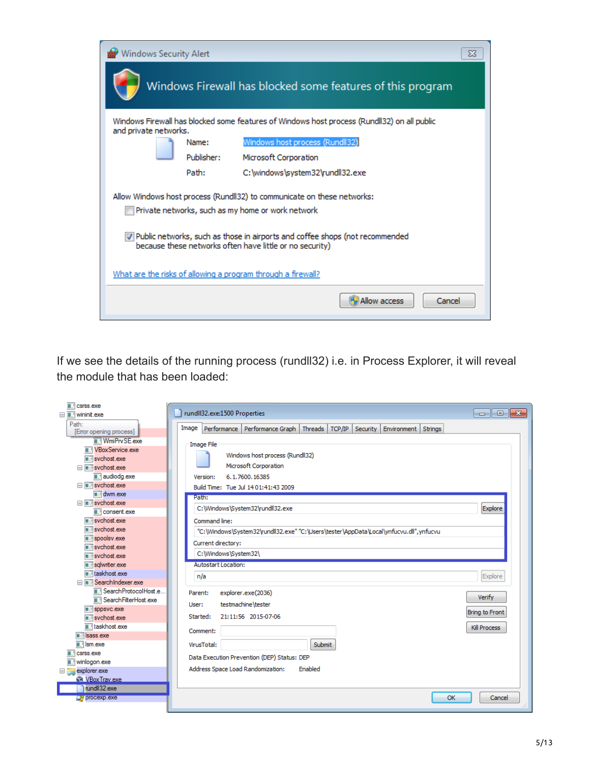| <b>Windows Security Alert</b><br>$\Sigma$                                                                                                  |  |  |  |  |  |  |  |  |  |
|--------------------------------------------------------------------------------------------------------------------------------------------|--|--|--|--|--|--|--|--|--|
| Windows Firewall has blocked some features of this program                                                                                 |  |  |  |  |  |  |  |  |  |
| Windows Firewall has blocked some features of Windows host process (Rundll32) on all public<br>and private networks.                       |  |  |  |  |  |  |  |  |  |
| Windows host process (Rundll32)<br>Name:                                                                                                   |  |  |  |  |  |  |  |  |  |
| Publisher:<br>Microsoft Corporation                                                                                                        |  |  |  |  |  |  |  |  |  |
| Path:<br>C:\windows\system32\rundll32.exe                                                                                                  |  |  |  |  |  |  |  |  |  |
| Allow Windows host process (Rundll32) to communicate on these networks:<br>Private networks, such as my home or work network               |  |  |  |  |  |  |  |  |  |
| 7 Public networks, such as those in airports and coffee shops (not recommended<br>because these networks often have little or no security) |  |  |  |  |  |  |  |  |  |
| What are the risks of allowing a program through a firewall?                                                                               |  |  |  |  |  |  |  |  |  |
| Allow access<br>Cancel                                                                                                                     |  |  |  |  |  |  |  |  |  |

If we see the details of the running process (rundll32) i.e. in Process Explorer, it will reveal the module that has been loaded:

| $\blacksquare$ csrss.exe                       |                                                                                                                                                              |
|------------------------------------------------|--------------------------------------------------------------------------------------------------------------------------------------------------------------|
| □ ■ wininit.exe                                | $\overline{\phantom{a}}$ $\overline{\phantom{a}}$ $\overline{\phantom{a}}$ $\overline{\phantom{a}}$ $\overline{\phantom{a}}$<br>rundII32.exe:1500 Properties |
| Path:                                          | Image<br>Performance   Performance Graph   Threads  <br>TCP/IP<br>Security<br>Environment<br>Strings                                                         |
| [Error opening process]<br><b>WmiPrvSE.exe</b> |                                                                                                                                                              |
| <b>New Service exer</b>                        | <b>Image File</b>                                                                                                                                            |
| svchost.exe                                    | Windows host process (Rundll32)                                                                                                                              |
| svchost.exe                                    | Microsoft Corporation                                                                                                                                        |
| audiodg.exe                                    | 6.1.7600.16385<br>Version:                                                                                                                                   |
| □ svchost.exe                                  | Build Time: Tue Jul 1401:41:43 2009                                                                                                                          |
| dwm.exe                                        | Path:                                                                                                                                                        |
| □ svchost.exe                                  |                                                                                                                                                              |
| $\blacksquare$ consent exe                     | C:\Windows\System32\rundll32.exe<br>Explore                                                                                                                  |
| svchost.exe                                    | Command line:                                                                                                                                                |
| $\overline{\blacksquare}$ sychost exe          | "C:\Windows\System32\rundll32.exe" "C:\Users\tester\AppData\Local\ynfucvu.dll",ynfucvu                                                                       |
| spoolsv.exe                                    | Current directory:                                                                                                                                           |
| sychost.exe                                    | C:\Windows\System32\                                                                                                                                         |
| svchost.exe                                    |                                                                                                                                                              |
| sqlwriter.exe<br>i taskhost exe                | <b>Autostart Location:</b>                                                                                                                                   |
| SearchIndexer.exe                              | n/a<br>Explore                                                                                                                                               |
| Search Protocol Host.e                         |                                                                                                                                                              |
| <b>E.</b> Search Filter Host.exe               | explorer.exe(2036)<br>Parent:<br><b>Verify</b>                                                                                                               |
| $\blacksquare$ sppsvc.exe                      | testmachine\tester<br>User:                                                                                                                                  |
| svchost.exe                                    | <b>Bring to Front</b><br>Started:<br>21:11:56 2015-07-06                                                                                                     |
| laskhost.exe                                   | Kill Process                                                                                                                                                 |
| sass.exe                                       | Comment:                                                                                                                                                     |
| $\blacksquare$ Ism.exe                         | VirusTotal:<br>Submit                                                                                                                                        |
| $\blacksquare$ csrss.exe                       | Data Execution Prevention (DEP) Status: DEP                                                                                                                  |
| winlogon.exe                                   |                                                                                                                                                              |
| explorer.exe<br>日高                             | Address Space Load Randomization:<br>Enabled                                                                                                                 |
| <b>SA</b> VBox Trav.exe                        |                                                                                                                                                              |
| rundll32.exe                                   |                                                                                                                                                              |
| OH procexp.exe                                 | OK<br>Cancel                                                                                                                                                 |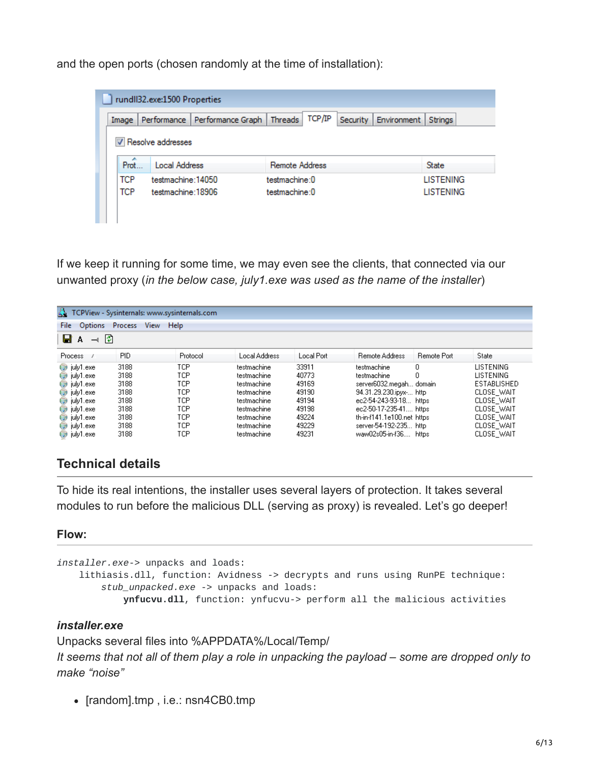and the open ports (chosen randomly at the time of installation):

|                                                      | rundII32.exe:1500 Properties |  |                | TCP/IP | <b>Security</b> | Environment | Strings          |  |  |
|------------------------------------------------------|------------------------------|--|----------------|--------|-----------------|-------------|------------------|--|--|
| Performance   Performance Graph   Threads  <br>Image |                              |  |                |        |                 |             |                  |  |  |
| V Resolve addresses                                  |                              |  |                |        |                 |             |                  |  |  |
|                                                      |                              |  |                |        |                 |             |                  |  |  |
| Prot                                                 | <b>Local Address</b>         |  | Remote Address |        |                 |             | <b>State</b>     |  |  |
| <b>TCP</b>                                           | testmachine: 14050           |  | testmachine:0  |        |                 |             | <b>LISTENING</b> |  |  |

If we keep it running for some time, we may even see the clients, that connected via our unwanted proxy (*in the below case, july1.exe was used as the name of the installer*)

| TCPView - Sysinternals: www.sysinternals.com<br>Options Process View Help |            |          |               |            |                            |                    |                  |  |  |
|---------------------------------------------------------------------------|------------|----------|---------------|------------|----------------------------|--------------------|------------------|--|--|
| File                                                                      |            |          |               |            |                            |                    |                  |  |  |
| ⊟∣A<br>$\rightarrow$ 0                                                    |            |          |               |            |                            |                    |                  |  |  |
| Process                                                                   | <b>PID</b> | Protocol | Local Address | Local Port | <b>Remote Address</b>      | <b>Remote Port</b> | <b>State</b>     |  |  |
| $\bigcirc$ july1.exe                                                      | 3188       | TCP      | testmachine   | 33911      | testmachine                | 0                  | <b>LISTENING</b> |  |  |
| $\bigcirc$ july1.exe                                                      | 3188       | TCP      | testmachine   | 40773      | testmachine                | 0                  | <b>LISTENING</b> |  |  |
| iuly1.exe                                                                 | 3188       | TCP      | testmachine   | 49169      | server6032.megah domain    |                    | ESTABLISHED      |  |  |
| $\bigcirc$ july1.exe                                                      | 3188       | TCP      | testmachine   | 49190      | 94.31.29.230.ipvx- http    |                    | CLOSE WAIT       |  |  |
| $\bigcirc$ july1.exe                                                      | 3188       | TCP      | testmachine   | 49194      | ec2-54-243-93-18 https:    |                    | CLOSE WAIT       |  |  |
| $\bigcirc$ july1.exe                                                      | 3188       | TCP      | testmachine   | 49198      | ec2-50-17-235-41 https     |                    | CLOSE_WAIT       |  |  |
| $\bigcirc$ july1.exe                                                      | 3188       | TCP      | testmachine   | 49224      | th-in-f141.1e100.net https |                    | CLOSE WAIT       |  |  |
| $\bigcirc$ july1.exe                                                      | 3188       | TCP      | testmachine   | 49229      | server-54-192-235 http:    |                    | CLOSE WAIT       |  |  |
| $\bigcirc$ july1.exe                                                      | 3188       | TCP      | testmachine   | 49231      | waw02s05-in-f36 https:     |                    | CLOSE WAIT       |  |  |

### **Technical details**

To hide its real intentions, the installer uses several layers of protection. It takes several modules to run before the malicious DLL (serving as proxy) is revealed. Let's go deeper!

#### **Flow:**

```
installer.exe-> unpacks and loads:
lithiasis.dll, function: Avidness -> decrypts and runs using RunPE technique:
    stub_unpacked.exe -> unpacks and loads:
       ynfucvu.dll, function: ynfucvu-> perform all the malicious activities
```
#### *installer.exe*

Unpacks several files into %APPDATA%/Local/Temp/

*It seems that not all of them play a role in unpacking the payload – some are dropped only to make "noise"*

• [random].tmp, i.e.: nsn4CB0.tmp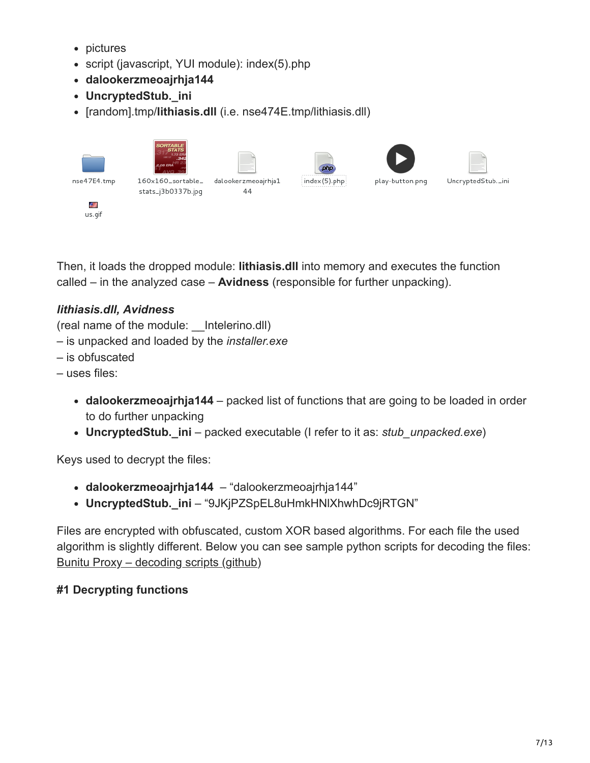- pictures
- script (javascript, YUI module): index(5).php
- **dalookerzmeoajrhja144**
- **UncryptedStub.\_ini**
- [random].tmp/**lithiasis.dll** (i.e. nse474E.tmp/lithiasis.dll)

|             | SORTABLE<br>1.73 ER<br>149.17<br>2.08 ERA | $\Box$                    | $\equiv$<br>__<br>and the control of the con-<br>php<br> |                 | _____<br>______   |
|-------------|-------------------------------------------|---------------------------|----------------------------------------------------------|-----------------|-------------------|
| nse47E4.tmp | 160x160_sortable_<br>stats_j3b0337b.jpg   | dalookerzmeoajrhja1<br>44 | index (5).php                                            | play-button.png | UncryptedStub._in |
| 4<br>us.gif |                                           |                           |                                                          |                 |                   |

Then, it loads the dropped module: **lithiasis.dll** into memory and executes the function called – in the analyzed case – **Avidness** (responsible for further unpacking).

## *lithiasis.dll, Avidness*

(real name of the module: \_\_Intelerino.dll)

- is unpacked and loaded by the *installer.exe*
- is obfuscated
- uses files:
	- **dalookerzmeoajrhja144** packed list of functions that are going to be loaded in order to do further unpacking
	- **UncryptedStub.\_ini** packed executable (I refer to it as: *stub\_unpacked.exe*)

Keys used to decrypt the files:

- **dalookerzmeoajrhja144** "dalookerzmeoajrhja144"
- **UncryptedStub.\_ini** "9JKjPZSpEL8uHmkHNlXhwhDc9jRTGN"

Files are encrypted with obfuscated, custom XOR based algorithms. For each file the used algorithm is slightly different. Below you can see sample python scripts for decoding the files: [Bunitu Proxy – decoding scripts \(github\)](https://gist.github.com/hasherezade/430ecbdf2dd1f0d935be)

### **#1 Decrypting functions**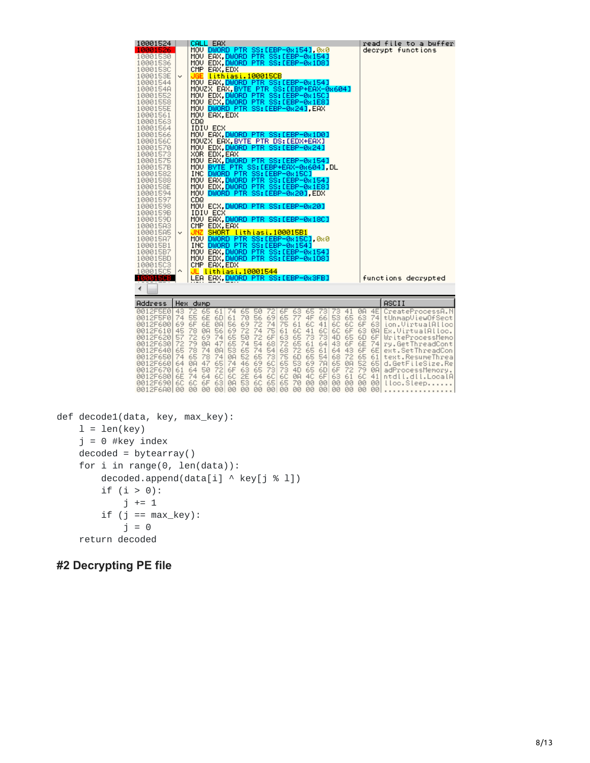| 10001524<br>10001526<br>10001530<br>10001536<br>10001530<br>1000153E<br>10001544<br>1000154A<br>10001552<br>10001558<br>1000155E<br>10001561<br>10001563<br>10001564<br>10001566                                                                                     | v                                                                 | JGE<br>CDQ                                                     |                                                                      | CALL EAX<br>CMP EAX, EDX<br>MOU EAX, EDX<br>IDIU ECX                 |                                                                                |                                                                      | MOV DWORD PTR SS:[EBP-0x154] 0x0<br>MOV EAX DWORD PTR SS:[EBP-0x154]<br>MOV EDX.DWORD PTR SS:[EBP-0x1D8]<br>lithiasi.100015CB<br>MOV EAX. DWORD PTR SS: LEBP-0x154]<br>MOVZX EAX.BYTE PTR SS: [EBP+EAX-0x604]<br>MOV EDX, DWORD PTR SS:[EBP-0x15C]<br>MOV ECX, <mark>DWORD PTR SS:[EBP-0x1E8]</mark><br>MOV DWORD PTR SS: [EBP-0x24].EAX<br>MOV EAX.DWORD PTR SS:[EBP-0x1D0]                                                                                                                                                                                                                         |                                              |                                                                |                                                                            |                                                                               |                                                              |                                                                               |                                                                      |                                                                       |                                                                                 | read file to a buffer<br>decrypt functions                                                                                                                                                                                                            |  |
|----------------------------------------------------------------------------------------------------------------------------------------------------------------------------------------------------------------------------------------------------------------------|-------------------------------------------------------------------|----------------------------------------------------------------|----------------------------------------------------------------------|----------------------------------------------------------------------|--------------------------------------------------------------------------------|----------------------------------------------------------------------|------------------------------------------------------------------------------------------------------------------------------------------------------------------------------------------------------------------------------------------------------------------------------------------------------------------------------------------------------------------------------------------------------------------------------------------------------------------------------------------------------------------------------------------------------------------------------------------------------|----------------------------------------------|----------------------------------------------------------------|----------------------------------------------------------------------------|-------------------------------------------------------------------------------|--------------------------------------------------------------|-------------------------------------------------------------------------------|----------------------------------------------------------------------|-----------------------------------------------------------------------|---------------------------------------------------------------------------------|-------------------------------------------------------------------------------------------------------------------------------------------------------------------------------------------------------------------------------------------------------|--|
| 1000156C<br>10001570<br>10001573<br>10001575<br>1000157B<br>10001582<br>10001588<br>1000158E<br>10001594<br>10001597<br>10001598<br>1000159B<br>1000159D<br>100015A3<br>100015A5<br>100015A7<br>100015B1<br>100015B7<br>100015BD<br>10001503<br>10001505<br>100015CB | v<br>۸                                                            | CD <sub>Q</sub><br>JNZ<br>INC.                                 |                                                                      | XOR EDX, EAX<br><b>IDIV ECX</b><br>CMP EDX, EAX<br>CMP EAX, EDX      |                                                                                |                                                                      | MOVZX EAX, BYTE PTR DS: [EDX+EAX]<br>MOV EDX.DWORD PTR SS:[EBP-0x24]<br>MOV EAX DWORD PTR SS:[EBP-0x154]<br>MOV BYTE PTR SS:[EBP+EAX-0x604].DL<br>INC DWORD PTR SS: [EBP-0x15C]<br>MOV EAX.DWORD PTR SS: [EBP-0x154]<br>MOV EDX DWORD PTR SS:[EBP-0x1E8]<br>MOV DWORD PTR SS:[EBP-0x20].EDX<br>MOV ECX.DWORD PTR SS:[EBP-0x20]<br>MOV EAX.DWORD PTR SS:[EBP-0x18C]<br>SHORT lithiasi.100015B1<br>MOU DWORD PTR SS: [EBP-0x15C].0x0<br>DWORD PTR SS: [EBP-0x154]<br>MOV EAX.DWORD PTR SS:[EBP-0x154]<br>MOV EDX.DWORD PTR SS:[EBP-0x1D8]<br>JL lithiasi.10001544<br>LEA EAX.DWORD PTR SS: [EBP-0x3FB] |                                              |                                                                |                                                                            |                                                                               |                                                              |                                                                               |                                                                      |                                                                       |                                                                                 | functions decrypted                                                                                                                                                                                                                                   |  |
| ∢                                                                                                                                                                                                                                                                    |                                                                   |                                                                |                                                                      |                                                                      |                                                                                |                                                                      |                                                                                                                                                                                                                                                                                                                                                                                                                                                                                                                                                                                                      |                                              |                                                                |                                                                            |                                                                               |                                                              |                                                                               |                                                                      |                                                                       |                                                                                 |                                                                                                                                                                                                                                                       |  |
| Address                                                                                                                                                                                                                                                              |                                                                   | Hex dump                                                       |                                                                      |                                                                      |                                                                                |                                                                      |                                                                                                                                                                                                                                                                                                                                                                                                                                                                                                                                                                                                      |                                              |                                                                |                                                                            |                                                                               |                                                              |                                                                               |                                                                      |                                                                       |                                                                                 | ASCII                                                                                                                                                                                                                                                 |  |
| 0012F5E0<br>0012F5F0<br>0012F600<br>0012F610<br>0012F620<br>0012F630<br>0012F640<br>0012F650<br>0012F660<br>0012F670<br>0012F680<br>0012F690 6C<br>0012F6A0 00 00 00                                                                                                 | 43<br>74 55<br>69<br>45<br>57<br>72<br>65<br>74<br>64<br>61<br>6E | 72<br>6F<br>78<br>72<br>79<br>78<br>65<br>ØA<br>64<br>74<br>6C | 65<br>6E<br>6E<br>ØA<br>69<br>ØA<br>74<br>78<br>47<br>50<br>64<br>6F | 61<br>6D<br>ØA<br>56<br>74<br>47<br>ØA<br>74<br>65<br>72<br>6C<br>63 | 74<br>61<br>56<br>69<br>65<br>65<br>53<br>ØA<br>74<br>6F<br>6C<br>ØA.<br>00 00 | 65<br>70<br>69<br>72<br>50<br>74<br>65<br>52<br>46<br>63<br>2E<br>53 | 50<br>56 69<br>72<br>74<br>72<br>54<br>74<br>65<br>69 6C<br>65 73<br>64<br>$6C$ $65$ $65$<br>00 00 00 00                                                                                                                                                                                                                                                                                                                                                                                                                                                                                             | 72<br>74<br>75<br>6F<br>68<br>54<br>73<br>60 | 6F<br>65<br>75<br>61<br>63<br>72<br>68<br>75<br>65<br>73<br>6C | 63<br>77<br>61<br>6C<br>65<br>65<br>72<br>6D<br>53<br>4D<br>ØA<br>70<br>00 | 65<br>4F<br>6C<br>41<br>73<br>61<br>65<br>65<br>69<br>65 6D<br>4C<br>00<br>00 | 731<br>41<br>6C<br>73<br>64<br>61<br>54<br>7A<br>6F<br>00 00 | 73<br>66 53 65<br>6C<br>6C<br>4D<br>43<br>64<br>68<br>65<br>6F<br>63<br>00 00 | 41<br>6C<br>6F<br>65<br>6F<br>43<br>72<br>ØA<br>72<br>61<br>00<br>00 | ØA<br>-63<br>6F<br>63<br>6D<br>6E<br>6F<br>65<br>52<br>6C<br>00<br>00 | 4E<br>74<br>63<br><b>ØA</b><br>6F<br>74<br>6E<br>61<br>65<br>79 0A<br>41<br>001 | CreateProcessA.N<br>tUnmapViewOfSect<br>ion.VirtualAlloc<br>Ex.VirtualAlloc.<br>WriteProcessMemo<br>ry.GetThreadCont<br>ext.SetThreadCon<br>text.ResumeThrea<br>d.GetFileSize.Re<br>adProcessMemory.<br>ntdll.dll.LocalA<br>00 lloc.Sleep<br>$\cdots$ |  |

```
def decode1(data, key, max_key):
l = len(key)j = 0 #key index
decoded = bytearray()for i in range(0, len(data)):
   decoded.append(data[i] ^ key[j % 1])
    if (i > 0):
        j += 1
    if (j == max\_key):
       j = 0return decoded
```
#### **#2 Decrypting PE file**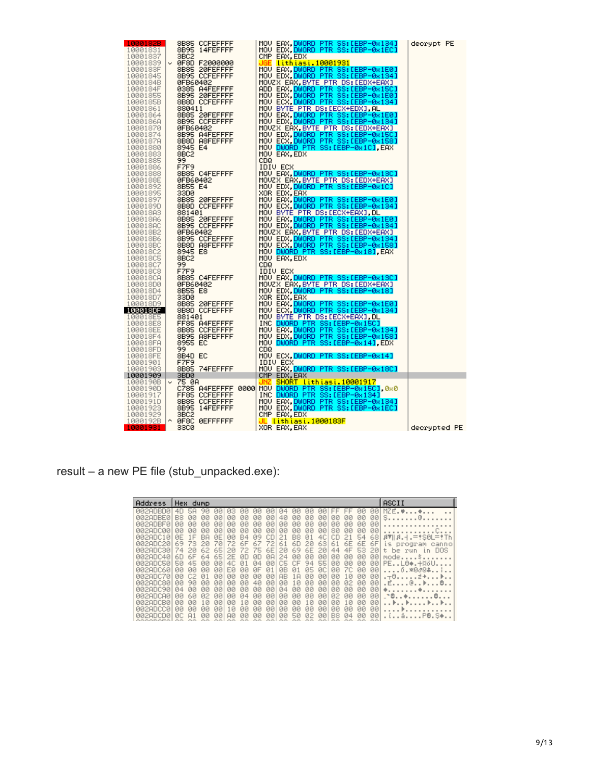| 1000182B               | 8B85 CCFEFFFF              | MOV EAX, <mark>DWORD PTR SS:[EBP-0x134]</mark>                                     | decrypt PE   |
|------------------------|----------------------------|------------------------------------------------------------------------------------|--------------|
| 10001831               | 8B95 14FEFFFF              | MOV EDX DWORD PTR SS: LEBP-0x1EC]                                                  |              |
| 10001837               | 3BC <sub>2</sub>           | CMP EAX, EDX                                                                       |              |
|                        | 10001839   v 0F8D F2000000 | UGE <u>lithiasi.10001931</u>                                                       |              |
| 1000183F               | 8B85 20FEFFFF              | MOV EAX.DWORD PTR SS:[EBP-0x1E0]<br>MOV EDX.DWORD PTR SS:[EBP-0x134]               |              |
| 10001845               | 8B95 CCFEFFFF              | MOVZX EAX, BYTE PTR DS: LEDX+EAX]                                                  |              |
| 1000184B  <br>1000184F | 0FB60402<br>0385 A4FEFFFF  |                                                                                    |              |
| 10001855               | 8B95 20FEFFFF              | ADD EAX, <mark>DWORD PTR SS:[EBP-0x15C]</mark><br>MOV EDX.DWORD PTR SS:[EBP-0x1E0] |              |
| 1000185B               | 8B8D CCFEFFFF              | MOV ECX.DWORD PTR SS: LEBP-0x134]                                                  |              |
| 10001861               | 880411                     | MOU BYTE PTR DS: LECX+EDXJ.AL                                                      |              |
| 10001864               | 8B85 20FEFFFF              |                                                                                    |              |
| 1000186A               | 8B95 CCFEFFFF              | MOV EAX.DWORD PTR SS:[EBP-0x1E0]<br>MOV EDX.DWORD PTR SS:[EBP-0x134]               |              |
| 10001870               | 0FB60402                   | MOVZX EAX,BYTE PTR DS:[EDX+EAX]<br>MOV EDX, <mark>DWORD PTR SS:[EBP-0x15C]</mark>  |              |
| 10001874               | 8B95 A4FEFFFF              |                                                                                    |              |
| 1000187A               | 8B8D A8FEFFFF              | MOV ECX, DWORD PTR SS: LEBP-0x158]                                                 |              |
| 10001880               | 8945 E4                    | MOV DWORD PTR SS: [EBP-0x1C], EAX                                                  |              |
| 10001883               | 8BC2                       | MOU EAX, EDX                                                                       |              |
| 10001885               | 99                         | CD <sub>Q</sub>                                                                    |              |
| 10001886               | F7F9                       | IDIA ECX                                                                           |              |
| 10001888<br>1000188E   | 8B85 C4FEFFFF<br>0FB60402  | MOV EAX, DWORD PTR SS:[EBP-0x13C]<br>MOVZX EAX, BYTE PTR DS: LEDX+EAX]             |              |
| 10001892               | 8B55 E4                    | MOV EDX, DWORD PTR SS: [EBP-0x1C]                                                  |              |
| 10001895               | 33D0                       | XOR EDX, EAX                                                                       |              |
| 10001897               | 8B85 20FEFFFF              | MOV EAX, DWORD PTR SS:[EBP-0x1E0]                                                  |              |
| 1000189D               | 8B8D CCFEFFFF              | MOV ECX, DWORD PTR SS: LEBP-0x1341                                                 |              |
| 100018A3               | 881401                     | MOU BYTE PTR DS: LECX+EAX1, DL                                                     |              |
| 10001886               | 8B85 20FEFFFF              | MOV EAX.DWORD PTR SS:[EBP-0x1E0]                                                   |              |
| 100018AC               | 8B95 CCFEFFFF              | MOV EDX, DWORD PTR SS: [EBP-0x134]                                                 |              |
| 100018B2               | 0FB60402                   | MOVZX EAX, BYTE PTR DS: [EDX+EAX]                                                  |              |
| 100018B6               | 8B95 CCFEFFFF              | MOV EDX.DWORD PTR SS: [EBP-0x134]                                                  |              |
| 100018BC               | 8B8D A8FEFFFF              | MOV ECX, DWORD PTR SS:[EBP-0x158]                                                  |              |
| 10001802               | 8945 E8                    | MOV DWORD PTR SS: [EBP-0x18].EAX                                                   |              |
| 10001805               | 8BC2<br>99                 | MOU EAX, EDX<br>CDQ                                                                |              |
| 10001807<br>10001808   | F7F9                       | IDIV ECX                                                                           |              |
| 100018CA               | 8B85 C4FEFFFF              | MOV EAX, DWORD PTR SS: [EBP-0x13C]                                                 |              |
| 100018D0               | 0FB60402                   | MOVZX EAX, BYTE PTR DS: [EDX+EAX]                                                  |              |
| 100018D4               | 8B55 E8                    | MOV EDX, DWORD PTR SS:[EBP-0x18]                                                   |              |
| 100018D7               | 33D0                       | XOR EDX, EAX                                                                       |              |
| 100018D9               | 8B85 20FEFFFF              | MOV EAX, DWORD PTR SS:[EBP-0x1E0]                                                  |              |
| 100018DF               | 8B8D CCFEFFFF              | MOV ECX, DWORD PTR SS: LEBP-0x134]                                                 |              |
| 100018E5               | 881401                     | MOV BYTE PTR DS: [ECX+EAX], DL                                                     |              |
| 100018E8               | FF85 A4FEFFFF              | INC DWORD PTR SS: [EBP-0x15C]                                                      |              |
| 100018EE               | 8B85 CCFEFFFF              | MOV EAX, DWORD PTR SS: LEBP-0x1341                                                 |              |
| 100018F4               | 8B95 A8FEFFFF              | MOV EDX, DWORD PTR SS: LEBP-0x158]                                                 |              |
| 100018FA<br>100018FD   | 8955 EC<br>99.             | MOV DWORD PTR SS: [EBP-0x14], EDX<br>CDQ                                           |              |
| 100018FE               | 8B4D EC                    | MOV ECX, DWORD PTR SS: [EBP-0x14]                                                  |              |
| 10001901               | F7F9                       | IDIV ECX                                                                           |              |
| 10001903               | 8B85 74FEFFFF              | MOV EAX, DWORD PTR SS:[EBP-0x18C]                                                  |              |
| 10001909               | 3BD0                       | CMP EDX, EAX                                                                       |              |
| 1000190B               | ∨ 75 0A                    | SHORT lithiasi.10001917<br>JNZ.                                                    |              |
| 1000190D               |                            | C785 A4FEFFFF 0000 MOV DWORD PTR SS: LEBP-0x15C1, 0x0                              |              |
| 10001917               | FF85 CCFEFFFF              | INC DWORD PTR SS: [EBP-0x134]                                                      |              |
| 1000191D               | 8B85 CCFEFFFF              | MOV EAX, DWORD PTR SS: [EBP-0x134]                                                 |              |
| 10001923               | 8B95 14FEFFFF              | MOV EDX DWORD PTR SS:[EBP-0x1EC]                                                   |              |
| 10001929               | 3BC2                       | CMP EAX, EDX                                                                       |              |
| 1000192B   ^           | 0F8C 0EFFFFFF              | JL lithiasi.1000183F                                                               |              |
| 10001931               | 33C0                       | XOR EAX, EAX                                                                       | decrypted PE |

result – a new PE file (stub\_unpacked.exe):

| Address                                                                                                              | Hex<br>dump                                                                                                                                        |                                                                                                                                                                                                      |                                                                                                                                                                                                                                                                               |                                                                                                                                                                                                                   | ASCII                                                                                                                               |
|----------------------------------------------------------------------------------------------------------------------|----------------------------------------------------------------------------------------------------------------------------------------------------|------------------------------------------------------------------------------------------------------------------------------------------------------------------------------------------------------|-------------------------------------------------------------------------------------------------------------------------------------------------------------------------------------------------------------------------------------------------------------------------------|-------------------------------------------------------------------------------------------------------------------------------------------------------------------------------------------------------------------|-------------------------------------------------------------------------------------------------------------------------------------|
| 002ADBD0<br>002ADBE0<br>002ADBF0<br><u> ИИ2АПСИЙ</u><br>002ADC10<br>002ADC201<br>002800301<br>002ADC40               | 58<br>90<br>B8<br>ЙЙ<br>ЙЙ<br>ЙЙ<br>ЙЙ<br>ЙЙ<br>ЙЙ<br>ЙЙ<br>ЙЙ<br>ЙE<br>1F<br>ВA<br>69<br>73<br>2Й<br>74<br>62<br>2И<br>6F<br>60<br>64             | ии<br>ии<br>из<br>ии<br>ЙЙ<br>ЙЙ<br>ЙЙ<br>ЙЙ<br>ЙØ<br>ЙЙ<br>ЙЙ<br>ЙЙ<br>ЙЙ<br>00<br>ØЙ<br>ЙЙ<br>ЙE<br>ЙЙ<br><b>B4</b><br>09<br>70<br>72<br>6F<br>67<br>65<br>75<br>20<br>72.<br>65<br>øD<br>0D<br>2F | ЙЙ<br>ЙЙ<br>ии<br>øø<br>40<br>ЙЙ<br>ЙЙ<br>ЙЙ<br>ЙЙ<br>ЙЙ<br>ЙЙ<br>ЙЙ<br>ЙЙ<br>ØØ<br><b>ØØ</b><br>ЙЙ<br>00<br>ЙЙ<br>4C<br>cп<br>B8<br>21<br>01<br>6D<br>61<br>72<br>63<br>20<br>69<br>6E<br>6E<br>20<br>20<br>ØA<br><b>ØØ</b><br>24<br>00<br>00                                | 901<br>90<br>$-$<br>$- -$<br>00<br>00<br>ЙЙ<br>ЙЙ<br>ЙЙ<br>ЙЙ<br>ЙЙ<br>ЙЙ<br>80<br>ЙЙ<br>ЙЙ<br>00<br>68<br>54<br>nп<br>21<br>61<br>6F<br>6Е<br>6Е<br>53<br>201<br>44<br>4F<br>001<br>ЙЙ<br>ЙЙ<br>ЙЙ               | $MZE.$ $*$ $*$<br>S. @. .<br>$ BT  B.1 = 150L = 17h$<br>$\leq$<br>program<br>canno<br>t be run<br><b>DOS</b><br>in.<br>$mode$ . $s$ |
| 002ADC50<br>00200060<br>002ADC70<br>00280080<br>00280090<br><u> 0028DC80</u><br><u> ИИ2АПСВИ</u><br><u> ЙА2АПССЙ</u> | 45<br>50<br>ЙЙ<br>ЙЙ<br>ЙЙ<br>ЙЙ<br>ЙЙ<br>C2<br>Й1<br>ЙЙ<br>90<br>ЙЙ<br><b>Ø4</b><br>ЙЙ<br>ЙЙ<br>60<br>ЙЙ<br>ЙΖ<br>ЙЙ<br>ЙЙ<br>Й<br>ЙЙ<br>ЙЙ<br>ЙЙ | 40.<br>ØØ<br>Ø1<br>Й4<br>ЙЙ<br>FЙ<br>ЙЙ<br>ØF<br>ØØ<br>00<br>ЙЙ<br>00<br>ØØ<br>40<br>ЙЙ<br>ЙЙ<br>ЙЙ<br>ЙЙ<br>ØЙ<br>ЙЙ<br>ЙЙ<br>ØЙ<br>ЙЙ<br>Й4<br>ЙЙ<br>10<br>ЙЙ<br>ЙЙ<br>ЙЙ<br>ЙЙ<br>ЙЙ<br>₽         | 55<br>C5<br>СF<br><b>ØØ</b><br>94<br>05<br><b>ØC</b><br>ЙB<br>01<br>Й1<br>00<br><b>ØØ</b><br>AB<br>00<br>.A<br>00<br>00<br>0.<br>ЙЙ<br>ЙЙ<br>ЙЙ<br>ЙЙ<br><b>ØØ</b><br>ЙЙ<br>Й4<br>ØØ<br>ØØ<br>00<br>00<br>ЙЙ<br>ØØ<br>ЙЙ<br>ЙЙ<br>ЙЙ<br>Ø<br>ØØ<br>ЙЙ<br>ЙЙ<br>ЙЙ<br>ЙЙ<br>ЙЙ | 00<br>00<br>001<br>00<br><b>ØØ</b><br>00<br>ЙЙ<br>00<br>00<br>00<br>10<br>ЙЙ<br>00<br>00<br>02<br>ЙЙ<br>ЙЙ<br>ЙЙ<br>ЙЙ<br>ØЙ<br>ЙЙ<br>Й2<br>ЙЙ<br>ЙЙ<br>10<br>ЙЙ<br>ЙЙ<br><b>ØØ</b><br>00<br>ЙЙ<br>ЙЙ<br>00<br>ЙЙ | $PE. . L0*. + 0.00.$<br>ó.*8∂8\$!<br>.⊤0z+⊧<br>. <b>.</b><br>$-9.149$<br>. . <b>. .</b><br>PB.S<br>á.                               |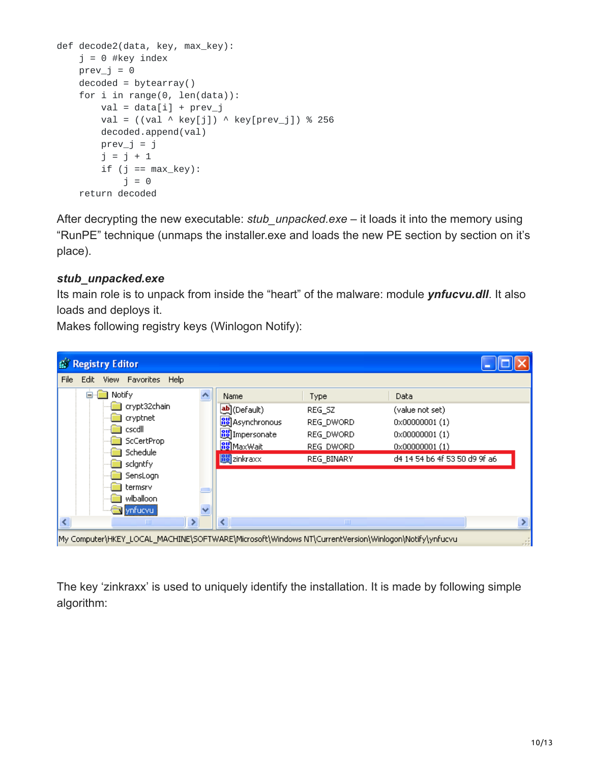```
def decode2(data, key, max_key):
j = 0 #key index
prev_j = 0decoded = bytearray()for i in range(0, len(data)):
   val = data[i] + prev_jval = ((val \wedge key[j]) \wedge key[prev_j]) % 256
    decoded.append(val)
    prev_j = jj = j + 1if (j == max\_key):j = 0return decoded
```
After decrypting the new executable: *stub\_unpacked.exe* – it loads it into the memory using "RunPE" technique (unmaps the installer.exe and loads the new PE section by section on it's place).

#### *stub\_unpacked.exe*

Its main role is to unpack from inside the "heart" of the malware: module *ynfucvu.dll*. It also loads and deploys it.

Makes following registry keys (Winlogon Notify):

| <b>B</b> Registry Editor                                                                            |                           |              |                               |
|-----------------------------------------------------------------------------------------------------|---------------------------|--------------|-------------------------------|
| File<br>Edit<br>View Favorites<br>Help                                                              |                           |              |                               |
| Notify<br>e.                                                                                        | Name                      | <b>Type</b>  | Data                          |
| crypt32chain                                                                                        | <mark>ቅ</mark> ](Default) | REG SZ       | (value not set)               |
| cryptnet                                                                                            | <b>BU</b> Asynchronous    | REG DWORD    | $0 \times 000000001$ (1)      |
| cscdll                                                                                              | <b>BU</b> Impersonate     | REG_DWORD    | $0 \times 000000001$ (1)      |
| ScCertProp<br>Schedule                                                                              | <b><u>RUMaxWait</u></b>   | REG DWORD    | $0 \times 000000001$ (1)      |
| scigntfy                                                                                            | <b>RU</b> zinkraxx        | REG_BINARY   | d4 14 54 b6 4f 53 50 d9 9f a6 |
| SensLogn                                                                                            |                           |              |                               |
| termsrv                                                                                             |                           |              |                               |
| wiballoon                                                                                           |                           |              |                               |
| ynfucvu                                                                                             |                           |              |                               |
| ШI                                                                                                  | ≺                         | <b>TITLE</b> |                               |
| My Computer\HKEY_LOCAL_MACHINE\SOFTWARE\Microsoft\Windows NT\CurrentVersion\Winlogon\Notify\ynfucvu |                           |              |                               |

The key 'zinkraxx' is used to uniquely identify the installation. It is made by following simple algorithm: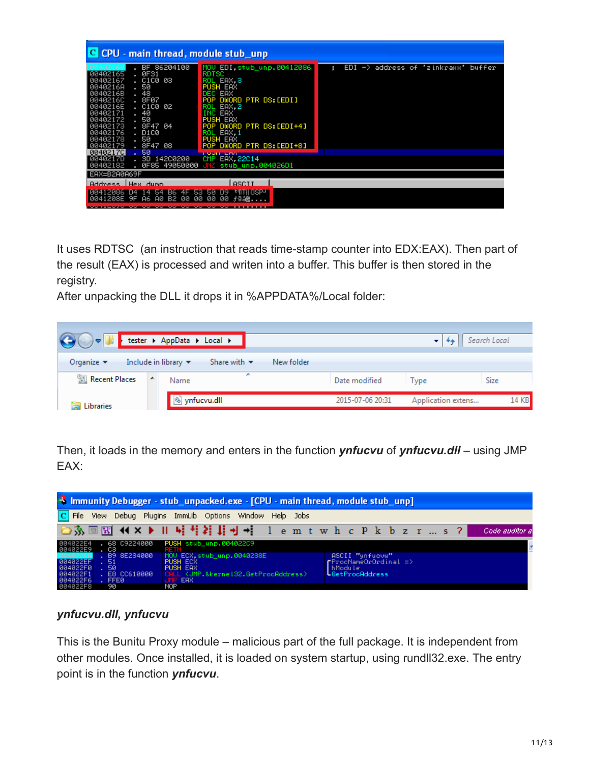| C CPU - main thread, module stub_unp                                                                                                                                                                                                                                            |                                                                                                                                                                                                                                                                              |                                                           |  |  |  |  |  |  |
|---------------------------------------------------------------------------------------------------------------------------------------------------------------------------------------------------------------------------------------------------------------------------------|------------------------------------------------------------------------------------------------------------------------------------------------------------------------------------------------------------------------------------------------------------------------------|-----------------------------------------------------------|--|--|--|--|--|--|
| 86204100<br>BF.<br>ØF31<br>00402165<br>. C1C0 03<br>00402167<br>50<br>0040216A<br>48<br>0040216B<br>. 8F07<br>0040216C<br>. C1C0 02<br>0040216E<br>40<br>00402171<br>50<br>00402172<br>. 8F47 04<br>00402173<br>. D1C0<br>00402176<br>. 50<br>00402178<br>. 8F47 08<br>88482179 | MOV EDI.stub_unp.00412086<br><b>RDTSC</b><br>EAX 3<br>ROI<br><b>PUSH EAX</b><br>EAX<br>DEC<br>DWORD PTR DS:[EDI]<br><b>POP</b><br>EAX.2<br>ROL<br>EAX<br>PUSH EAX<br>DWORD PTR DS: [EDI+4]<br><b>POP</b><br>EAX.1<br>ROL<br><b>PUSH EAX</b><br>DWORD PTR DS: [EDI+8]<br>POP. | EDI<br>address of 'zinkraxx' buffer<br>$\rightarrow$<br>н |  |  |  |  |  |  |
| 50<br><b>0040217C</b><br>. 3D 142C0200<br>0040217D<br>00402182<br>0F85 49050000                                                                                                                                                                                                 | <b>LUGHLERA</b><br>CMP.<br>EAX.22C14<br>stub_unp.004026D1                                                                                                                                                                                                                    |                                                           |  |  |  |  |  |  |
| EAX=B2A0A69F<br>Address LHex dumn                                                                                                                                                                                                                                               | <b>ASCTT</b>                                                                                                                                                                                                                                                                 |                                                           |  |  |  |  |  |  |
| 00412086 D4 14 54<br>B2 00<br>0041208E 9F<br>A6 A0                                                                                                                                                                                                                              | B6 4F 53 50 D9<br><b>EMTHOSPH</b><br>00<br>00<br>00<br><b>子全3器</b>                                                                                                                                                                                                           |                                                           |  |  |  |  |  |  |

It uses RDTSC (an instruction that reads time-stamp counter into EDX:EAX). Then part of the result (EAX) is processed and writen into a buffer. This buffer is then stored in the registry.

After unpacking the DLL it drops it in %APPDATA%/Local folder:



Then, it loads in the memory and enters in the function *ynfucvu* of *ynfucvu.dll* – using JMP EAX:



#### *ynfucvu.dll, ynfucvu*

This is the Bunitu Proxy module – malicious part of the full package. It is independent from other modules. Once installed, it is loaded on system startup, using rundll32.exe. The entry point is in the function *ynfucvu*.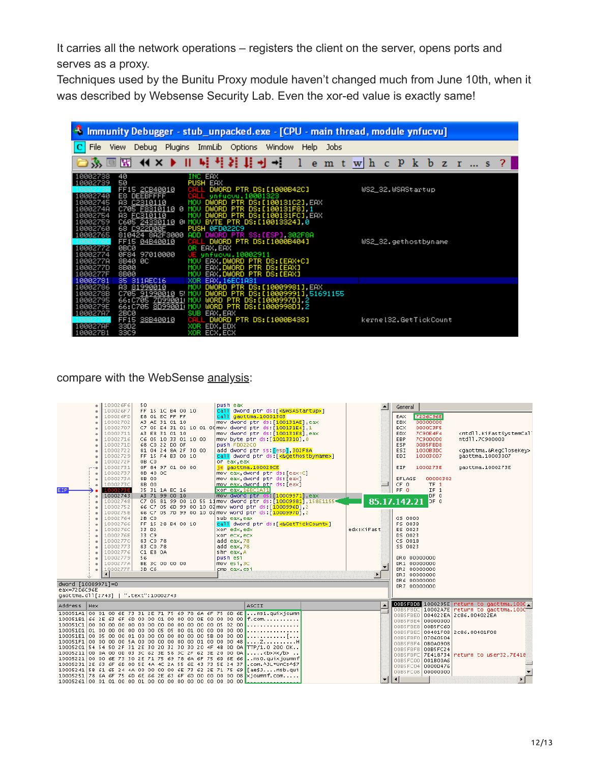It carries all the network operations – registers the client on the server, opens ports and serves as a proxy.

Techniques used by the Bunitu Proxy module haven't changed much from June 10th, when it was described by Websense Security Lab. Even the xor-ed value is exactly same!

| <sup>5</sup> Immunity Debugger - stub_unpacked.exe - [CPU - main thread, module ynfucvu]                                                                             |                                                                                                                                                                                                                                       |                                                                                                                                                                                           |                                                                                                                                                                                                                                                                                    |  |             |      |  |                                           |  |  |  |
|----------------------------------------------------------------------------------------------------------------------------------------------------------------------|---------------------------------------------------------------------------------------------------------------------------------------------------------------------------------------------------------------------------------------|-------------------------------------------------------------------------------------------------------------------------------------------------------------------------------------------|------------------------------------------------------------------------------------------------------------------------------------------------------------------------------------------------------------------------------------------------------------------------------------|--|-------------|------|--|-------------------------------------------|--|--|--|
| File                                                                                                                                                                 | Debug<br><b>View</b>                                                                                                                                                                                                                  | Plugins ImmLib Options Window                                                                                                                                                             |                                                                                                                                                                                                                                                                                    |  | <b>Help</b> | Jobs |  |                                           |  |  |  |
|                                                                                                                                                                      |                                                                                                                                                                                                                                       |                                                                                                                                                                                           |                                                                                                                                                                                                                                                                                    |  |             |      |  |                                           |  |  |  |
| 10002738<br>10002739<br>10002740<br>10002745<br>1000274A<br>10002754<br>10002759<br>10002760<br>10002765<br>10002772<br>10002774<br>10002778<br>1000277D<br>1000277F | 40<br>50<br>FF15 2CB40010<br>E8 DEEBFFFF<br>A3 C2310110<br>C705 <u>F8310110</u> 0<br>A3 EC310110<br>C605 24330110 0 MOV<br>68 C922D00E<br>810424 8A2F3000<br>FF15 04B40010<br><b>ØBCØ</b><br>0F84 97010000<br>8B40 0C<br>8B00<br>8B00 | INC EAX<br><b>PUSH EAX</b><br>CALI<br>CALL<br>MOV DWORD PTR DS: [100131C2], EAX<br>MOU<br>MOU<br><b>PUSH 0FD022C9</b><br>ADD<br>OR EAX, EAX<br>MOU<br>MOU<br>MOV EAX, DWORD PTR DS: [EAX] | _ DWORD PTR DS:[1000B42C]<br>unfucuu.10001323<br>DWORD PTR DS: [100131F8] 1<br>DWORD PTR DS: [100131FC] EAX<br>BYTE PTR DS: [10013324], 0<br>DWORD PTR SS: [ESP] 302F8A<br>. DWORD PTR DS:[1000B404]<br>E unfucou.10002911<br>EAX, DWORD PTR DS: [EAX+C]<br>EAX DWORD PTR DS:[EAX] |  |             |      |  | WS2_32.WSAStartup<br>WS2_32.gethostbyname |  |  |  |
| 10002781                                                                                                                                                             | 35 311AEC16                                                                                                                                                                                                                           | XOR                                                                                                                                                                                       | <b>EAX, 16EC1A31</b>                                                                                                                                                                                                                                                               |  |             |      |  |                                           |  |  |  |
| 10002786<br>1000278B<br>10002795<br>1000279E<br>10002787                                                                                                             | A3 <u>81990010</u><br>0705 91990010 5 MOV DWORD PTR DS:[10009991],51691155<br>99:0705 2D99001 MOV WORD PTR DS:[1000997D],2<br>66:C705 <u>8D99001</u> MOV<br>2BC0<br>FF15 38B40010                                                     | MOU<br>SUB EAX, EAX<br>CALL DWORD PTR DS:[1000B438]                                                                                                                                       | DWORD PTR DS:[10009981].EAX<br>WORD PTR DS: [1000998D], 2                                                                                                                                                                                                                          |  |             |      |  | kernel32.GetTickCount                     |  |  |  |
| 100027AF<br>100027B1                                                                                                                                                 | 33D2<br><b>33C9</b>                                                                                                                                                                                                                   | XOR EDX, EDX<br>ECX, ECX<br>XOR                                                                                                                                                           |                                                                                                                                                                                                                                                                                    |  |             |      |  |                                           |  |  |  |

compare with the WebSense [analysis:](http://community.websense.com/blogs/securitylabs/archive/2015/06/10/large-malvertizing-campaign-leads-to-angler-ek-amp-bunitu-malware.aspx)

| 100026F6<br>50<br>100026F7<br>FF 15 1C B4 00 10                                                                                                         | push eax<br>call dword ptr ds [<&WSAStartup>]                                                                  | $\blacktriangle$         | General                                                                                                            |
|---------------------------------------------------------------------------------------------------------------------------------------------------------|----------------------------------------------------------------------------------------------------------------|--------------------------|--------------------------------------------------------------------------------------------------------------------|
| 100026FD<br>E8 01 EC FF FF<br>10002702<br>A3 AE 31 01 10                                                                                                | call gaottma.10001303<br>mov dword ptr ds [100131AE] eax                                                       |                          | 7206C96E<br><b>EAX</b><br>EBX<br>00000000                                                                          |
| 10002707                                                                                                                                                | C7 05 E4 31 01 10 01 00 mov dword ptr ds [100131E4] 1                                                          |                          | <b>ECX</b><br>0000C3F5                                                                                             |
| 10002711<br>A3 E8 31 01 10<br>10002716<br>C6 05 10 33 01 10 00                                                                                          | mov dword ptr ds [100131E8], eax<br>mov byte ptr ds [10013310], 0                                              |                          | <b>EDX</b><br>7C90E4F4<br><ntdll.kifastsystemcal<br>7C900000<br/>ntd11.7C900000<br/>EBP</ntdll.kifastsystemcal<br> |
| 1000271D<br>68 CO 22 DO OF                                                                                                                              | push FD022C0<br>add dword ptr ss [esp], 302F8A                                                                 |                          | ESP<br>OOBSFBD8<br>1000B3DC                                                                                        |
| 10002722<br>81 04 24 8A 2F 30 00<br>10002729<br>FF 15 F4 B3 00 10                                                                                       | call dword ptr ds [ <& gethostbyname>]                                                                         |                          | ESI.<br><gaottma.&regclosekey><br/>EDI<br/>10003007<br/>qaottma.10003007</gaottma.&regclosekey>                    |
| 1000272F<br>OB CO<br>10002731<br>OF 84 97 01 00 00                                                                                                      | on eax, eax<br>ie gaottma.100028CE                                                                             |                          | EIP<br>1000273E<br>qaottma.1000273E                                                                                |
| 10002737<br>8B 40 OC                                                                                                                                    | mov eax, dword ptr ds [eax+C]                                                                                  |                          |                                                                                                                    |
| 1000273A<br>8B 00<br>8B 00<br>1000273C                                                                                                                  | mov eax dword ptr ds [eax]<br>mov eax dword ptr ds [eax]                                                       |                          | EFLAGS<br>00000302<br>TF <sub>1</sub><br>CF 0                                                                      |
| 1000273E<br>35 31 1A EC 16<br><b>EIP</b><br>10002743<br>A3 71 99 00 10                                                                                  | Xor eax 16EC1A31<br>mov dword ptr ds [10009971], eax                                                           |                          | PF <sub>0</sub><br>$IF_1$<br>DF 0                                                                                  |
| 10002748                                                                                                                                                | C7 05 81 99 00 10 55 11 mov dword ptr ds: [10009981], 158E1155=                                                |                          | 85.17.142.21<br>DF <sub>0</sub>                                                                                    |
| 10002752<br>1000275B                                                                                                                                    | 66 C7 05 6D 99 00 10 02 mov word ptr ds [10009960] 2<br>66 C7 05 7D 99 00 10 02 mov word ptr ds: [1000997D], 2 |                          |                                                                                                                    |
| 10002764<br>2B CO<br>10002766<br>FF 15 28 B4 00 10                                                                                                      | sub eax, eax<br>call dword ptr ds [ <& GetTickCount>]                                                          |                          | GS 0000<br>FS 003B                                                                                                 |
| 1000276C<br>33 D <sub>2</sub>                                                                                                                           | xor edx edx                                                                                                    | edx:KiFast               | ES 0023                                                                                                            |
| 1000276E<br>33 C9<br>10002770<br>83 CO 78                                                                                                               | xor ecx, ecx<br>add eax, 78                                                                                    |                          | DS 0023<br>CS 001B                                                                                                 |
| 10002773<br>83 CO 78<br>10002776                                                                                                                        | add eax, 78                                                                                                    |                          | SS 0023                                                                                                            |
| C1 E8 0A<br>10002779<br>56                                                                                                                              | shr eax A<br>push esi                                                                                          |                          | DR0 00000000                                                                                                       |
| 1000277A<br>BE 3C 00 00 00<br>1000277F<br>3B C6                                                                                                         | mov esi 3C<br>cmp eax esi                                                                                      |                          | DR1 00000000<br>DR2 00000000                                                                                       |
|                                                                                                                                                         |                                                                                                                |                          | DR3 00000000                                                                                                       |
| dword [10009971]=0                                                                                                                                      |                                                                                                                |                          | DR6 00000000<br>DR7 00000000                                                                                       |
| eax=72D6C96E<br>qaottma.dll[2743]   ".text":10002743                                                                                                    |                                                                                                                |                          |                                                                                                                    |
| Address<br>Hex                                                                                                                                          | <b>ASCII</b>                                                                                                   |                          | 00B5FB08 1000295E return to gaottma.1000                                                                           |
| 100051A1 00 01 00 6E 73 31 2E 71 75 69 78 6A 6F 75 6D 6E                                                                                                | $\mathsf{I}$ ns1.quixioumn                                                                                     |                          | OOBSFBDC 10002A7E return to gaottma.1000<br>00B5FBE0 004022EA 2C86.004022EA                                        |
| 100051B1 66 2E 63 6F 6D 00 00 01 00 00 00 0E 00 00 00 00 F.Com                                                                                          |                                                                                                                |                          | 00B5FBE4 00000000<br>00BSFBE8 00BSFC60                                                                             |
| 100051D1 01 00 00 00 00 00 00 05 05 00 01 00 00 00 00 00                                                                                                |                                                                                                                |                          | 00B5FBEC 00401F08 2c86.00401F08                                                                                    |
| 100051F1 00 00 00 00 5A 00 00 00 00 00 00 01 00 00 00 48ZH                                                                                              |                                                                                                                |                          | 00B5FBF0 07060504<br>00B5FBF4 0B0A0908                                                                             |
| 10005201 54 54 50 2F 31 2E 30 20 32 30 30 20 4F 4B 0D 0A TTP/1.0 200 OK<br>10005211 0D 0A 00 0D 03 3C 62 3E 58 3C 2F 62 3E 20 00 0A <b>X</b>            |                                                                                                                |                          | 00BSFBF8 00B5FC24<br>00B5FBFC   7E418734  <br>return to user32.7E418                                               |
| 10005221 00 00 6E 73 30 2E 71 75 69 78 6A 6F 75 6D 6E 66  ns0.quixioumnf<br>10005231 2E 63 6F 6D 00 5E 4A 4C 2A 55 6E 43 73 5E 24 37 .com. AJL*UnCsA\$7 |                                                                                                                |                          | 00B5FC00 001B00A6                                                                                                  |
| 10005241 5B 61 65 24 4A 00 00 00 00 6E 73 62 2E 71 75 69 [ae\$Jnsb.qui                                                                                  |                                                                                                                |                          | 00B5FC04 0000D476<br>00B5FC08 00000000                                                                             |
| 10005251 78 6A 6F 75 6D 6E 66 2E 63 6F 6D 00 00 00 00 08 xjoumnf.com                                                                                    |                                                                                                                | $\overline{\phantom{a}}$ | $\left  \cdot \right $                                                                                             |